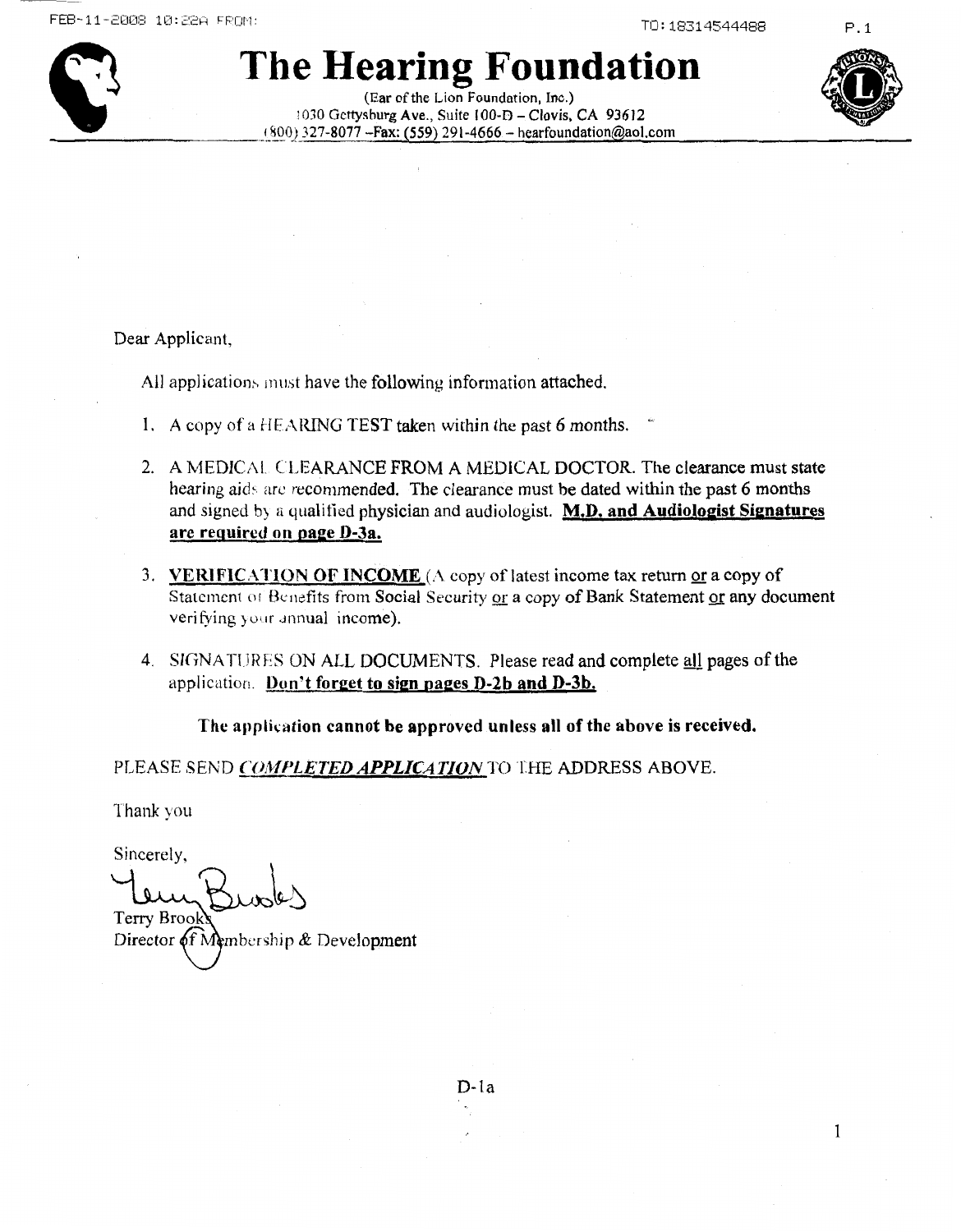

### The Hearing Foundation

(Ear of the Lion Foundation, Inc.) 1030 Gettysburg Ave., Suite 100-D - Clovis, CA 93612  $(800)$  327-8077 - Fax: (559) 291-4666 - hearfoundation@aol.com



 $\mathbf{1}$ 

 $P.1$ 

Dear Applicant.

All applications must have the following information attached.

- 1. A copy of a HEARING TEST taken within the past 6 months.
- 2. A MEDICAL CLEARANCE FROM A MEDICAL DOCTOR. The clearance must state hearing aids are recommended. The clearance must be dated within the past 6 months and signed by a qualified physician and audiologist. M.D. and Audiologist Signatures are required on page D-3a.
- 3. VERIFICATION OF INCOME (A copy of latest income tax return or a copy of Statement of Benefits from Social Security or a copy of Bank Statement or any document verifying your annual income).
- 4. SIGNATURES ON ALL DOCUMENTS. Please read and complete all pages of the application. Don't forget to sign pages D-2b and D-3b.

The application cannot be approved unless all of the above is received.

PLEASE SEND COMPLETED APPLICATION TO THE ADDRESS ABOVE.

Thank you

Sincerely, Terry Brool

Director of Membership & Development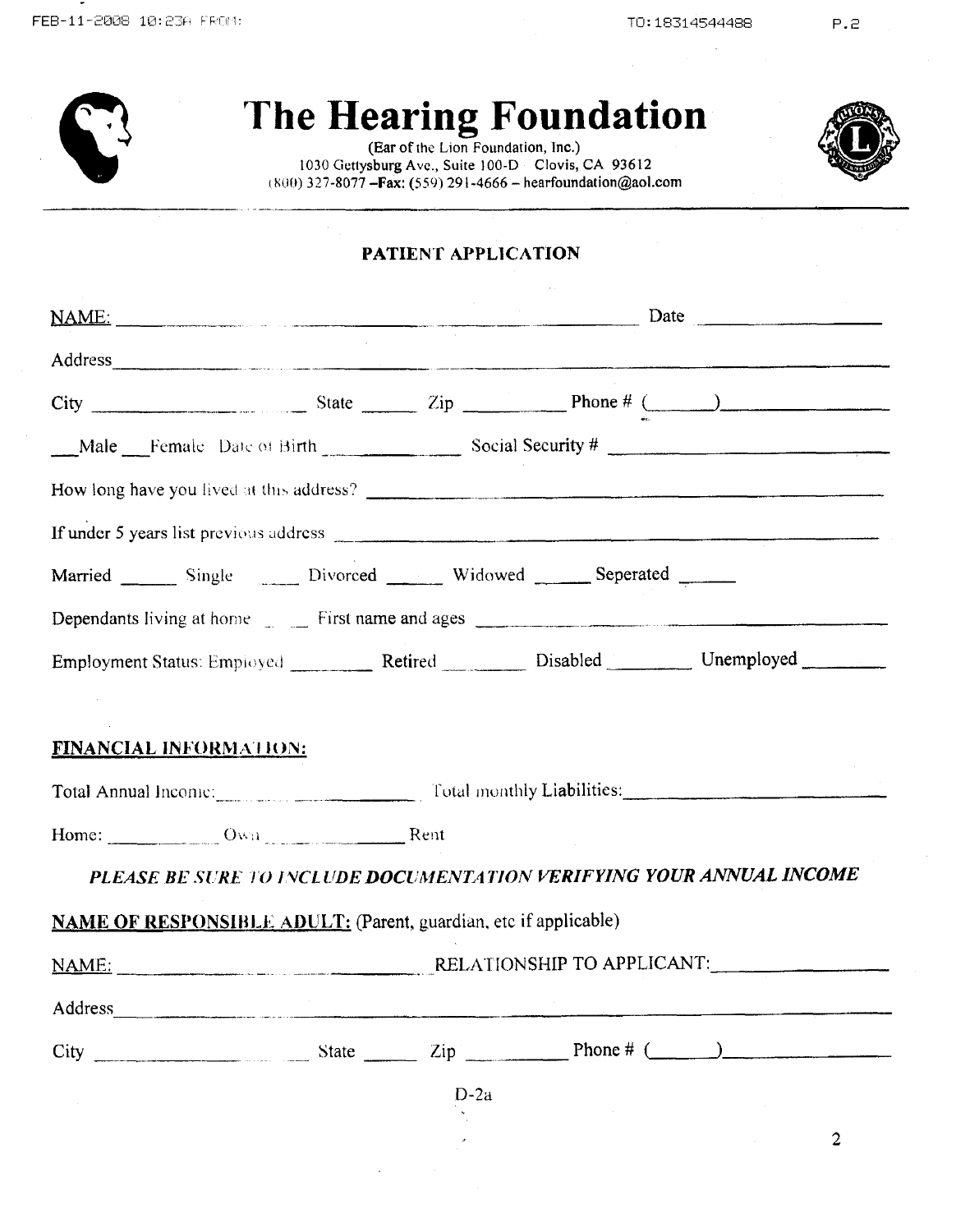## **The Hearing Foundation**

**(Ear of the** Lion Foundation, **inc.) <sup>I</sup>**hW) **327-8077 -Fax:** *(550)* **29 1-4666** - **[hearfoundation@aol.com](mailto:hearfoundation@aol.com)**  1030 **Cietlysburg Avc., Suite** 100-D **Clovis, CA 93612** 



#### **PATIENT APPLICATION**

| NAME: Date                                                                                                                                                                                                                          |        |  |                |
|-------------------------------------------------------------------------------------------------------------------------------------------------------------------------------------------------------------------------------------|--------|--|----------------|
| Address and the contract of the contract of the contract of the contract of the contract of the contract of the contract of the contract of the contract of the contract of the contract of the contract of the contract of th      |        |  |                |
|                                                                                                                                                                                                                                     |        |  |                |
| Male Female Date of Birth Social Security #                                                                                                                                                                                         |        |  |                |
|                                                                                                                                                                                                                                     |        |  |                |
|                                                                                                                                                                                                                                     |        |  |                |
| Married ________ Single _______ Divorced ________ Widowed _______ Seperated ______                                                                                                                                                  |        |  |                |
| Dependants living at home First name and ages <b>EXALLES</b> 2014 19:30 The Research of Table 1.1 The Research of Table 1.1 The Research of Table 1.1 The Research of Table 1.1 The Research of Table 1.1 The Research of Table 1.1 |        |  |                |
| Employment Status: Employed Retired Disabled Unemployed                                                                                                                                                                             |        |  |                |
|                                                                                                                                                                                                                                     |        |  |                |
| <b>FINANCIAL INFORMATION:</b>                                                                                                                                                                                                       |        |  |                |
| Total Annual Income: Total monthly Liabilities:                                                                                                                                                                                     |        |  |                |
| Home: Own Rent                                                                                                                                                                                                                      |        |  |                |
| PLEASE BE SURE TO INCLUDE DOCUMENTATION VERIFYING YOUR ANNUAL INCOME                                                                                                                                                                |        |  |                |
| <b>NAME OF RESPONSIBLE ADULT:</b> (Parent, guardian, etc if applicable)                                                                                                                                                             |        |  |                |
|                                                                                                                                                                                                                                     |        |  |                |
| Address                                                                                                                                                                                                                             |        |  |                |
|                                                                                                                                                                                                                                     |        |  |                |
|                                                                                                                                                                                                                                     | $D-2a$ |  |                |
|                                                                                                                                                                                                                                     |        |  | $\overline{2}$ |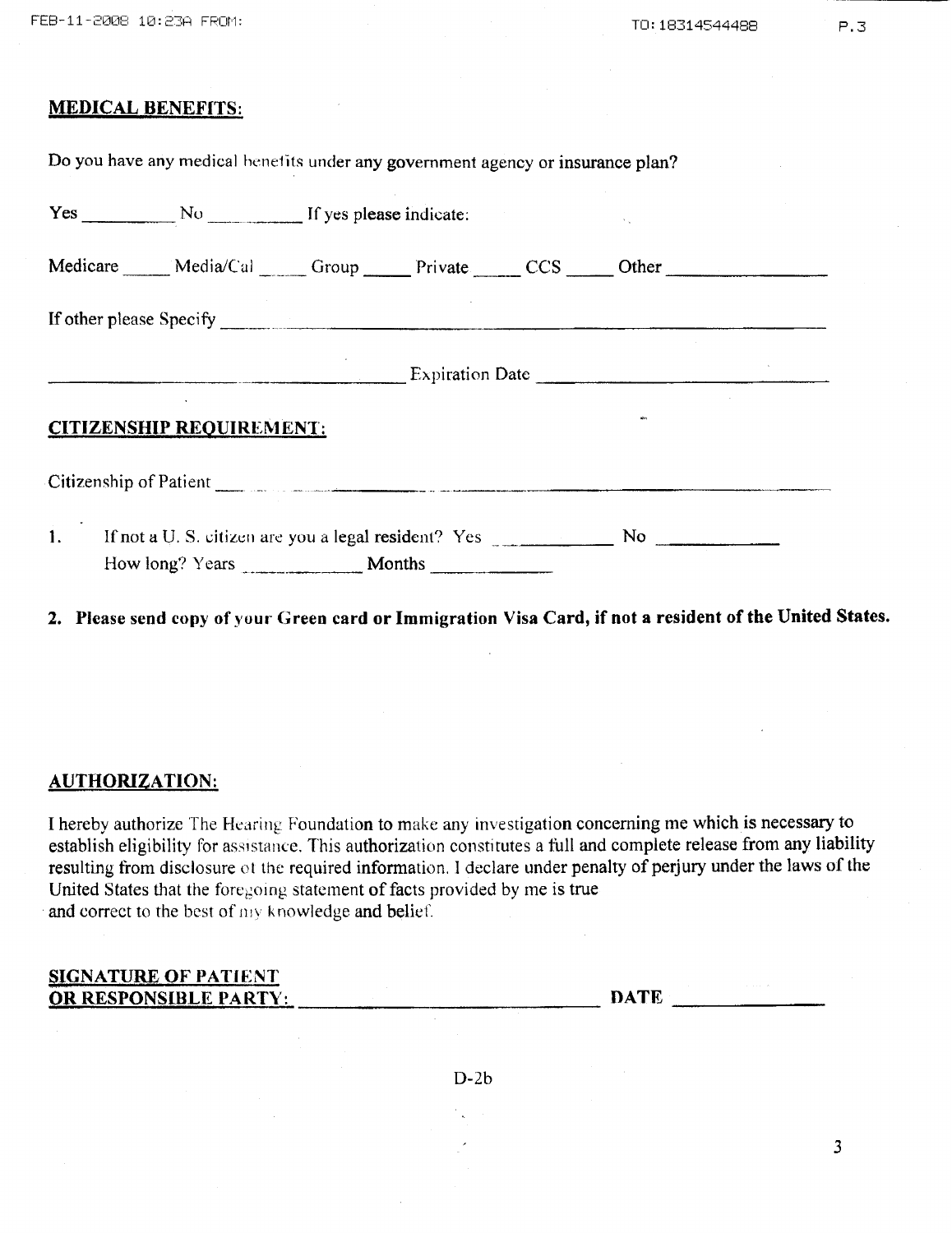$\mathbf{L}$  and  $\mathbf{L}$ 

|    | Medicare Media/Cal Group Private CCS Other                    |  |  |  |  |
|----|---------------------------------------------------------------|--|--|--|--|
|    |                                                               |  |  |  |  |
|    |                                                               |  |  |  |  |
|    | <b>CITIZENSHIP REQUIREMENT:</b>                               |  |  |  |  |
|    |                                                               |  |  |  |  |
| 1. | If not a U. S. citizen are you a legal resident? Yes No No No |  |  |  |  |
|    | How long? Years <b>Months</b>                                 |  |  |  |  |

2. Please send copy of your Green card or Immigration Visa Card, if not a resident of the United States.

#### **AUTHORIZATION:**

I hereby authorize The Hearing Foundation to make any investigation concerning me which is necessary to establish eligibility for assistance. This authorization constitutes a full and complete release from any liability resulting from disclosure ot the required information. I declare under penalty of perjury under the laws of the United States that the foregoing statement of facts provided by me is true and correct to the best of my knowledge and belief.

#### **SIGNATURE OF PATIENT** OR RESPONSIBLE PARTY:

**DATE DATE** 

 $\overline{3}$ 

 $D-2b$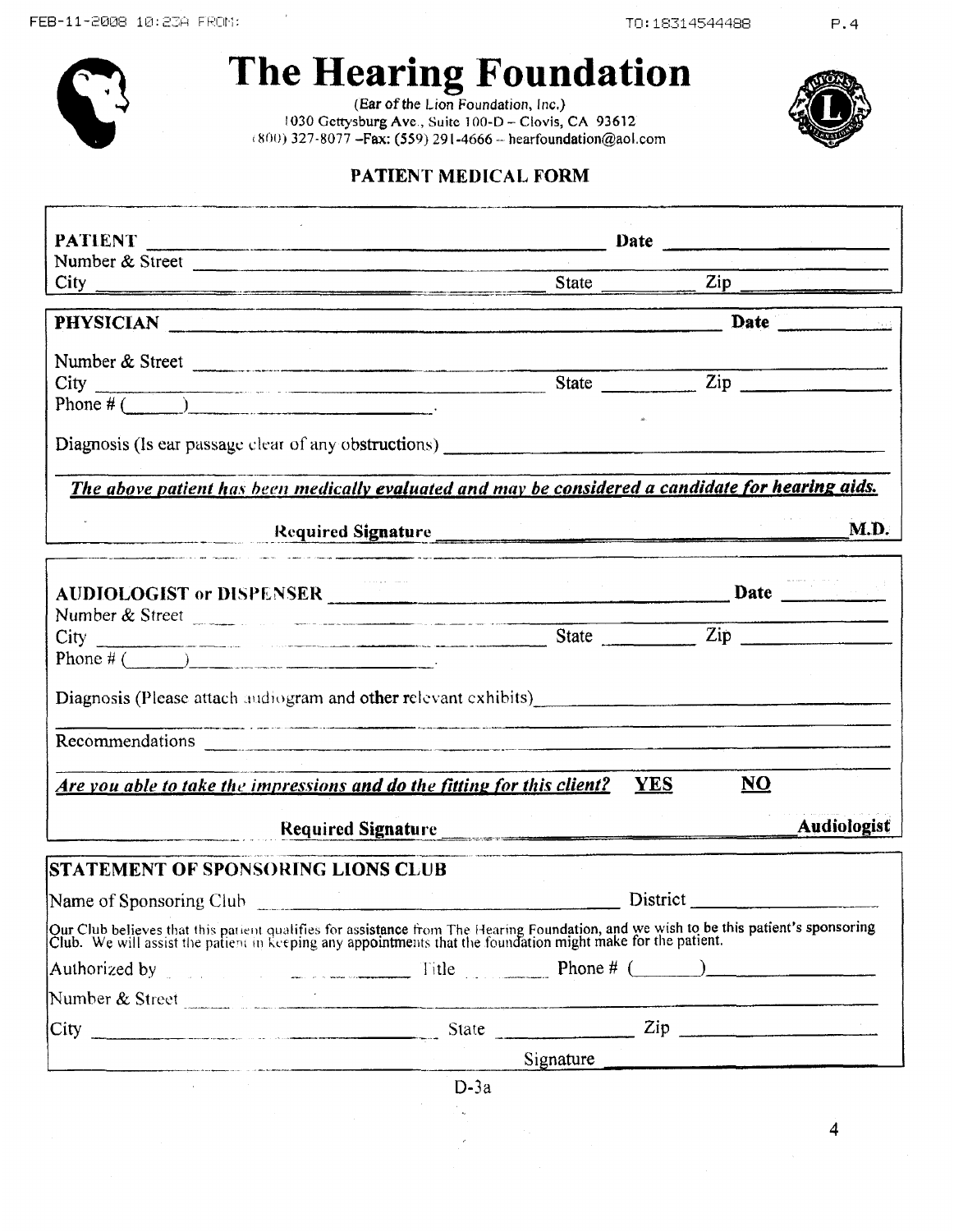

# The Hearing Foundation

1030 Gettysburg Ave., Suite 100-D - Clovis, CA 93612  $(800)$  327-8077 - Fax: (559) 291-4666 - hearfoundation@aol.com



 $P.4$ 

#### PATIENT MEDICAL FORM

| Number & Street                                                                                                                                                                                                                   |        |                                                                                                                                                                                                                                |             |
|-----------------------------------------------------------------------------------------------------------------------------------------------------------------------------------------------------------------------------------|--------|--------------------------------------------------------------------------------------------------------------------------------------------------------------------------------------------------------------------------------|-------------|
| $City$ $\qquad \qquad$                                                                                                                                                                                                            |        | State <u>Zip</u>                                                                                                                                                                                                               |             |
| PHYSICIAN Date Date Date Districts of the Second Line of the Contract of the Contract of the Contract of the Contract of the Contract of the Contract of the Contract of the Contract of the Contract of the Contract of the C    |        |                                                                                                                                                                                                                                |             |
| Number & Street                                                                                                                                                                                                                   |        |                                                                                                                                                                                                                                |             |
|                                                                                                                                                                                                                                   |        | State <u>Zip</u>                                                                                                                                                                                                               |             |
|                                                                                                                                                                                                                                   |        |                                                                                                                                                                                                                                |             |
|                                                                                                                                                                                                                                   |        |                                                                                                                                                                                                                                |             |
| The above patient has been medically evaluated and may be considered a candidate for hearing aids.                                                                                                                                |        |                                                                                                                                                                                                                                |             |
| Required Signature Required Signature                                                                                                                                                                                             |        |                                                                                                                                                                                                                                | M.D.        |
| .<br>При представительно постоянно продолжения в состоянии получительно поддерживания по постоянно получительно про                                                                                                               |        |                                                                                                                                                                                                                                |             |
| AUDIOLOGIST or DISPENSER<br>Number & Street                                                                                                                                                                                       |        |                                                                                                                                                                                                                                |             |
|                                                                                                                                                                                                                                   |        |                                                                                                                                                                                                                                |             |
| Phone # $($                                                                                                                                                                                                                       |        |                                                                                                                                                                                                                                |             |
| Diagnosis (Please attach audiogram and other relevant exhibits)                                                                                                                                                                   |        |                                                                                                                                                                                                                                |             |
|                                                                                                                                                                                                                                   |        |                                                                                                                                                                                                                                |             |
| Are you able to take the impressions and do the fitting for this client? YES                                                                                                                                                      |        | NQ                                                                                                                                                                                                                             |             |
| Required Signature                                                                                                                                                                                                                |        |                                                                                                                                                                                                                                | Audiologist |
| <b>STATEMENT OF SPONSORING LIONS CLUB</b>                                                                                                                                                                                         |        |                                                                                                                                                                                                                                |             |
| Name of Sponsoring Club Name of Sponsoring Club                                                                                                                                                                                   |        | District and the contract of the contract of the contract of the contract of the contract of the contract of the contract of the contract of the contract of the contract of the contract of the contract of the contract of t |             |
| Our Club believes that this patient qualifies for assistance from The Hearing Foundation, and we wish to be this patient's sponsoring<br>Club. We will assist the patient in keeping any appointments that the foundation might m |        |                                                                                                                                                                                                                                |             |
| Authorized by $\qquad \qquad$ Title $\qquad \qquad$ Phone # $\qquad \qquad$                                                                                                                                                       |        |                                                                                                                                                                                                                                |             |
| Number & Street                                                                                                                                                                                                                   |        |                                                                                                                                                                                                                                |             |
|                                                                                                                                                                                                                                   |        |                                                                                                                                                                                                                                |             |
|                                                                                                                                                                                                                                   |        |                                                                                                                                                                                                                                |             |
|                                                                                                                                                                                                                                   | $D-3a$ |                                                                                                                                                                                                                                |             |